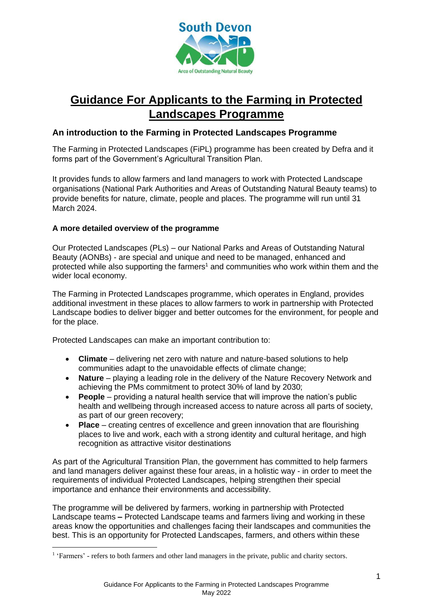

# **Guidance For Applicants to the Farming in Protected Landscapes Programme**

## **An introduction to the Farming in Protected Landscapes Programme**

The Farming in Protected Landscapes (FiPL) programme has been created by Defra and it forms part of the Government's Agricultural Transition Plan.

It provides funds to allow farmers and land managers to work with Protected Landscape organisations (National Park Authorities and Areas of Outstanding Natural Beauty teams) to provide benefits for nature, climate, people and places. The programme will run until 31 March 2024.

### **A more detailed overview of the programme**

Our Protected Landscapes (PLs) – our National Parks and Areas of Outstanding Natural Beauty (AONBs) - are special and unique and need to be managed, enhanced and protected while also supporting the farmers<sup>1</sup> and communities who work within them and the wider local economy.

The Farming in Protected Landscapes programme, which operates in England, provides additional investment in these places to allow farmers to work in partnership with Protected Landscape bodies to deliver bigger and better outcomes for the environment, for people and for the place.

Protected Landscapes can make an important contribution to:

- **Climate** delivering net zero with nature and nature-based solutions to help communities adapt to the unavoidable effects of climate change;
- **Nature** playing a leading role in the delivery of the Nature Recovery Network and achieving the PMs commitment to protect 30% of land by 2030;
- **People** providing a natural health service that will improve the nation's public health and wellbeing through increased access to nature across all parts of society, as part of our green recovery;
- **Place** creating centres of excellence and green innovation that are flourishing places to live and work, each with a strong identity and cultural heritage, and high recognition as attractive visitor destinations

As part of the Agricultural Transition Plan, the government has committed to help farmers and land managers deliver against these four areas, in a holistic way - in order to meet the requirements of individual Protected Landscapes, helping strengthen their special importance and enhance their environments and accessibility.

The programme will be delivered by farmers, working in partnership with Protected Landscape teams **–** Protected Landscape teams and farmers living and working in these areas know the opportunities and challenges facing their landscapes and communities the best. This is an opportunity for Protected Landscapes, farmers, and others within these

<sup>&</sup>lt;sup>1</sup> 'Farmers' - refers to both farmers and other land managers in the private, public and charity sectors.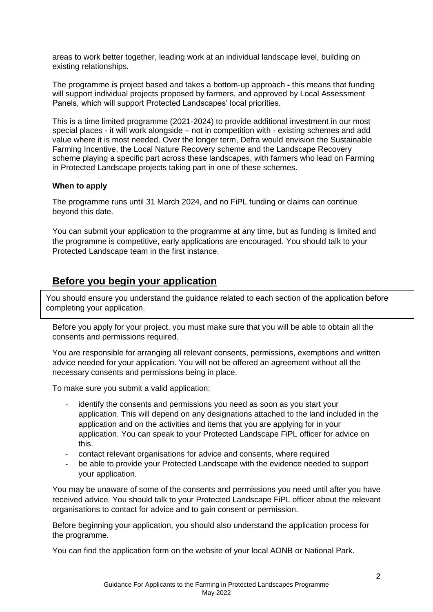areas to work better together, leading work at an individual landscape level, building on existing relationships.

The programme is project based and takes a bottom-up approach **-** this means that funding will support individual projects proposed by farmers, and approved by Local Assessment Panels, which will support Protected Landscapes' local priorities.

This is a time limited programme (2021-2024) to provide additional investment in our most special places - it will work alongside – not in competition with - existing schemes and add value where it is most needed. Over the longer term, Defra would envision the Sustainable Farming Incentive, the Local Nature Recovery scheme and the Landscape Recovery scheme playing a specific part across these landscapes, with farmers who lead on Farming in Protected Landscape projects taking part in one of these schemes.

#### **When to apply**

The programme runs until 31 March 2024, and no FiPL funding or claims can continue beyond this date.

You can submit your application to the programme at any time, but as funding is limited and the programme is competitive, early applications are encouraged. You should talk to your Protected Landscape team in the first instance.

## **Before you begin your application**

You should ensure you understand the guidance related to each section of the application before completing your application.

Before you apply for your project, you must make sure that you will be able to obtain all the consents and permissions required.

You are responsible for arranging all relevant consents, permissions, exemptions and written advice needed for your application. You will not be offered an agreement without all the necessary consents and permissions being in place.

To make sure you submit a valid application:

- identify the consents and permissions you need as soon as you start your application. This will depend on any designations attached to the land included in the application and on the activities and items that you are applying for in your application. You can speak to your Protected Landscape FiPL officer for advice on this.
- contact relevant organisations for advice and consents, where required
- be able to provide your Protected Landscape with the evidence needed to support your application.

You may be unaware of some of the consents and permissions you need until after you have received advice. You should talk to your Protected Landscape FiPL officer about the relevant organisations to contact for advice and to gain consent or permission.

Before beginning your application, you should also understand the application process for the programme.

You can find the application form on the website of your local AONB or National Park.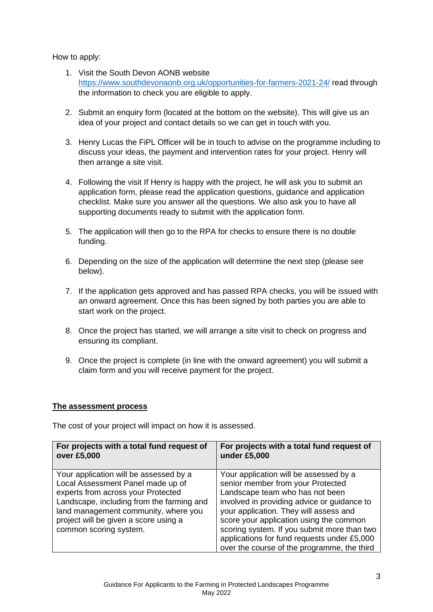How to apply:

- 1. Visit the South Devon AONB website <https://www.southdevonaonb.org.uk/opportunities-for-farmers-2021-24/> read through the information to check you are eligible to apply.
- 2. Submit an enquiry form (located at the bottom on the website). This will give us an idea of your project and contact details so we can get in touch with you.
- 3. Henry Lucas the FiPL Officer will be in touch to advise on the programme including to discuss your ideas, the payment and intervention rates for your project. Henry will then arrange a site visit.
- 4. Following the visit If Henry is happy with the project, he will ask you to submit an application form, please read the application questions, guidance and application checklist. Make sure you answer all the questions. We also ask you to have all supporting documents ready to submit with the application form.
- 5. The application will then go to the RPA for checks to ensure there is no double funding.
- 6. Depending on the size of the application will determine the next step (please see below).
- 7. If the application gets approved and has passed RPA checks, you will be issued with an onward agreement. Once this has been signed by both parties you are able to start work on the project.
- 8. Once the project has started, we will arrange a site visit to check on progress and ensuring its compliant.
- 9. Once the project is complete (in line with the onward agreement) you will submit a claim form and you will receive payment for the project.

## **The assessment process**

The cost of your project will impact on how it is assessed.

| For projects with a total fund request of<br>over £5,000                                                                                                                                                                                                                  | For projects with a total fund request of<br>under £5,000                                                                                                                                                                                                                                                                                        |
|---------------------------------------------------------------------------------------------------------------------------------------------------------------------------------------------------------------------------------------------------------------------------|--------------------------------------------------------------------------------------------------------------------------------------------------------------------------------------------------------------------------------------------------------------------------------------------------------------------------------------------------|
| Your application will be assessed by a<br>Local Assessment Panel made up of<br>experts from across your Protected<br>Landscape, including from the farming and<br>land management community, where you<br>project will be given a score using a<br>common scoring system. | Your application will be assessed by a<br>senior member from your Protected<br>Landscape team who has not been<br>involved in providing advice or guidance to<br>your application. They will assess and<br>score your application using the common<br>scoring system. If you submit more than two<br>applications for fund requests under £5,000 |
|                                                                                                                                                                                                                                                                           | over the course of the programme, the third                                                                                                                                                                                                                                                                                                      |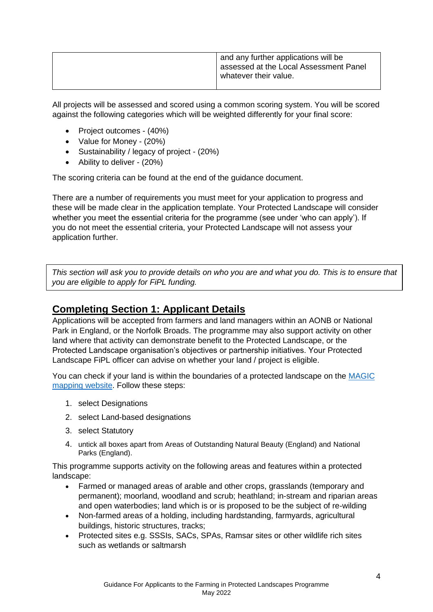| assessed at the Local Assessment Panel<br>whatever their value. |
|-----------------------------------------------------------------|
|-----------------------------------------------------------------|

All projects will be assessed and scored using a common scoring system. You will be scored against the following categories which will be weighted differently for your final score:

- Project outcomes (40%)
- Value for Money (20%)
- Sustainability / legacy of project (20%)
- Ability to deliver (20%)

The scoring criteria can be found at the end of the guidance document.

There are a number of requirements you must meet for your application to progress and these will be made clear in the application template. Your Protected Landscape will consider whether you meet the essential criteria for the programme (see under 'who can apply'). If you do not meet the essential criteria, your Protected Landscape will not assess your application further.

*This section will ask you to provide details on who you are and what you do. This is to ensure that you are eligible to apply for FiPL funding.* 

## **Completing Section 1: Applicant Details**

Applications will be accepted from farmers and land managers within an AONB or National Park in England, or the Norfolk Broads. The programme may also support activity on other land where that activity can demonstrate benefit to the Protected Landscape, or the Protected Landscape organisation's objectives or partnership initiatives. Your Protected Landscape FiPL officer can advise on whether your land / project is eligible.

You can check if your land is within the boundaries of a protected landscape on the MAGIC [mapping website.](https://magic.defra.gov.uk/MagicMap.aspx) Follow these steps:

- 1. select Designations
- 2. select Land-based designations
- 3. select Statutory
- 4. untick all boxes apart from Areas of Outstanding Natural Beauty (England) and National Parks (England).

This programme supports activity on the following areas and features within a protected landscape:

- Farmed or managed areas of arable and other crops, grasslands (temporary and permanent); moorland, woodland and scrub; heathland; in-stream and riparian areas and open waterbodies; land which is or is proposed to be the subject of re-wilding
- Non-farmed areas of a holding, including hardstanding, farmyards, agricultural buildings, historic structures, tracks;
- Protected sites e.g. SSSIs, SACs, SPAs, Ramsar sites or other wildlife rich sites such as wetlands or saltmarsh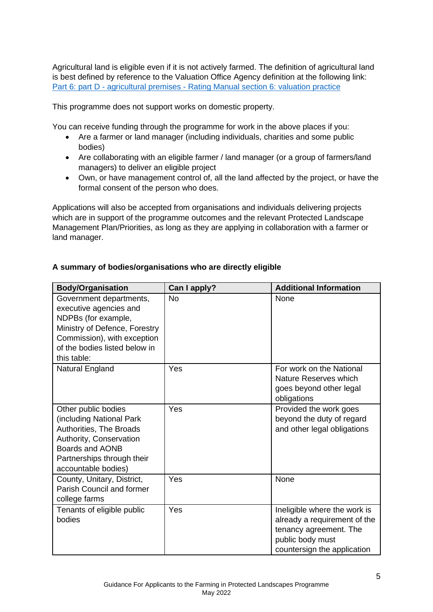Agricultural land is eligible even if it is not actively farmed. The definition of agricultural land is best defined by reference to the Valuation Office Agency definition at the following link: Part 6: part D - agricultural premises - [Rating Manual section 6: valuation practice](https://eur03.safelinks.protection.outlook.com/?url=https%3A%2F%2Fwww.gov.uk%2Fguidance%2Frating-manual-section-6-chhallenges-to-the-rating-list%2Fpart-6-part-d-agricultural-premises&data=04%7C01%7CFiPL%40defra.gov.uk%7C7bb39981523a4c29956f08d997a88596%7C770a245002274c6290c74e38537f1102%7C0%7C0%7C637707572318295220%7CUnknown%7CTWFpbGZsb3d8eyJWIjoiMC4wLjAwMDAiLCJQIjoiV2luMzIiLCJBTiI6Ik1haWwiLCJXVCI6Mn0%3D%7C1000&sdata=oPqMc%2F8OWhDRallQy%2F55LExNVMYeVgaDDYcEslKLswE%3D&reserved=0)

This programme does not support works on domestic property.

You can receive funding through the programme for work in the above places if you:

- Are a farmer or land manager (including individuals, charities and some public bodies)
- Are collaborating with an eligible farmer / land manager (or a group of farmers/land managers) to deliver an eligible project
- Own, or have management control of, all the land affected by the project, or have the formal consent of the person who does.

Applications will also be accepted from organisations and individuals delivering projects which are in support of the programme outcomes and the relevant Protected Landscape Management Plan/Priorities, as long as they are applying in collaboration with a farmer or land manager.

| <b>Body/Organisation</b>                                                                                                                                                                 | Can I apply? | <b>Additional Information</b>                                                                                                             |
|------------------------------------------------------------------------------------------------------------------------------------------------------------------------------------------|--------------|-------------------------------------------------------------------------------------------------------------------------------------------|
| Government departments,<br>executive agencies and<br>NDPBs (for example,<br>Ministry of Defence, Forestry<br>Commission), with exception<br>of the bodies listed below in<br>this table: | <b>No</b>    | None                                                                                                                                      |
| Natural England                                                                                                                                                                          | Yes          | For work on the National<br>Nature Reserves which<br>goes beyond other legal<br>obligations                                               |
| Other public bodies<br>(including National Park<br>Authorities, The Broads<br>Authority, Conservation<br>Boards and AONB<br>Partnerships through their<br>accountable bodies)            | Yes          | Provided the work goes<br>beyond the duty of regard<br>and other legal obligations                                                        |
| County, Unitary, District,<br><b>Parish Council and former</b><br>college farms                                                                                                          | Yes          | None                                                                                                                                      |
| Tenants of eligible public<br>bodies                                                                                                                                                     | Yes          | Ineligible where the work is<br>already a requirement of the<br>tenancy agreement. The<br>public body must<br>countersign the application |

## **A summary of bodies/organisations who are directly eligible**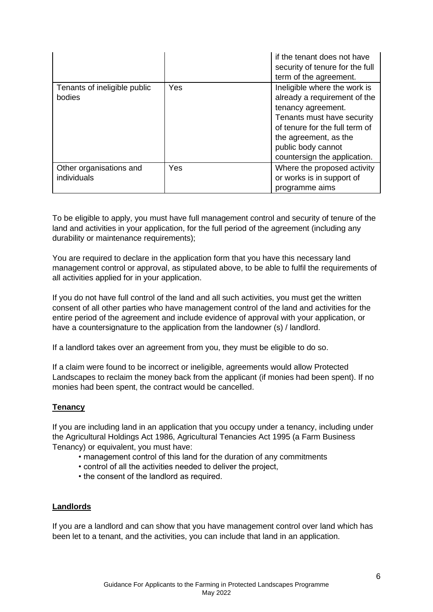|                                        |     | if the tenant does not have<br>security of tenure for the full<br>term of the agreement.                                                                                                                                          |
|----------------------------------------|-----|-----------------------------------------------------------------------------------------------------------------------------------------------------------------------------------------------------------------------------------|
| Tenants of ineligible public<br>bodies | Yes | Ineligible where the work is<br>already a requirement of the<br>tenancy agreement.<br>Tenants must have security<br>of tenure for the full term of<br>the agreement, as the<br>public body cannot<br>countersign the application. |
| Other organisations and<br>individuals | Yes | Where the proposed activity<br>or works is in support of<br>programme aims                                                                                                                                                        |

To be eligible to apply, you must have full management control and security of tenure of the land and activities in your application, for the full period of the agreement (including any durability or maintenance requirements);

You are required to declare in the application form that you have this necessary land management control or approval, as stipulated above, to be able to fulfil the requirements of all activities applied for in your application.

If you do not have full control of the land and all such activities, you must get the written consent of all other parties who have management control of the land and activities for the entire period of the agreement and include evidence of approval with your application, or have a countersignature to the application from the landowner (s) / landlord.

If a landlord takes over an agreement from you, they must be eligible to do so.

If a claim were found to be incorrect or ineligible, agreements would allow Protected Landscapes to reclaim the money back from the applicant (if monies had been spent). If no monies had been spent, the contract would be cancelled.

## **Tenancy**

If you are including land in an application that you occupy under a tenancy, including under the Agricultural Holdings Act 1986, Agricultural Tenancies Act 1995 (a Farm Business Tenancy) or equivalent, you must have:

- management control of this land for the duration of any commitments
- control of all the activities needed to deliver the project,
- the consent of the landlord as required.

## **Landlords**

If you are a landlord and can show that you have management control over land which has been let to a tenant, and the activities, you can include that land in an application.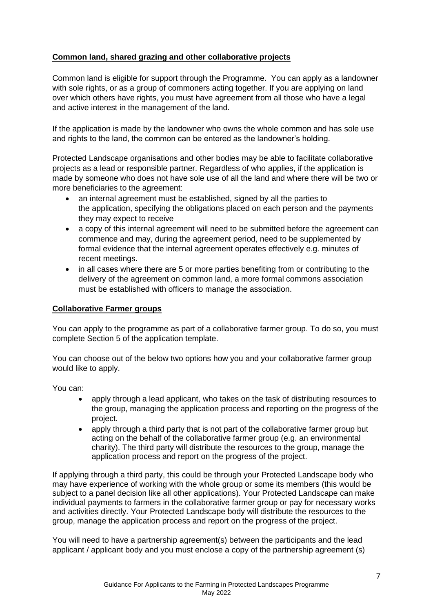## **Common land, shared grazing and other collaborative projects**

Common land is eligible for support through the Programme. You can apply as a landowner with sole rights, or as a group of commoners acting together. If you are applying on land over which others have rights, you must have agreement from all those who have a legal and active interest in the management of the land.

If the application is made by the landowner who owns the whole common and has sole use and rights to the land, the common can be entered as the landowner's holding.

Protected Landscape organisations and other bodies may be able to facilitate collaborative projects as a lead or responsible partner. Regardless of who applies, if the application is made by someone who does not have sole use of all the land and where there will be two or more beneficiaries to the agreement:

- an internal agreement must be established, signed by all the parties to the application, specifying the obligations placed on each person and the payments they may expect to receive
- a copy of this internal agreement will need to be submitted before the agreement can commence and may, during the agreement period, need to be supplemented by formal evidence that the internal agreement operates effectively e.g. minutes of recent meetings.
- in all cases where there are 5 or more parties benefiting from or contributing to the delivery of the agreement on common land, a more formal commons association must be established with officers to manage the association.

### **Collaborative Farmer groups**

You can apply to the programme as part of a collaborative farmer group. To do so, you must complete Section 5 of the application template.

You can choose out of the below two options how you and your collaborative farmer group would like to apply.

You can:

- apply through a lead applicant, who takes on the task of distributing resources to the group, managing the application process and reporting on the progress of the project.
- apply through a third party that is not part of the collaborative farmer group but acting on the behalf of the collaborative farmer group (e.g. an environmental charity). The third party will distribute the resources to the group, manage the application process and report on the progress of the project.

If applying through a third party, this could be through your Protected Landscape body who may have experience of working with the whole group or some its members (this would be subject to a panel decision like all other applications). Your Protected Landscape can make individual payments to farmers in the collaborative farmer group or pay for necessary works and activities directly. Your Protected Landscape body will distribute the resources to the group, manage the application process and report on the progress of the project.

You will need to have a partnership agreement(s) between the participants and the lead applicant / applicant body and you must enclose a copy of the partnership agreement (s)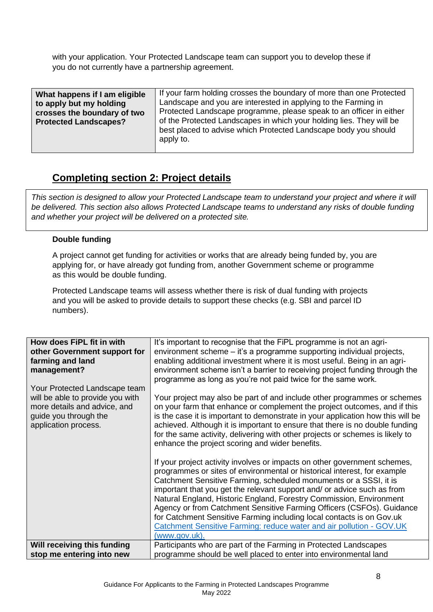with your application. Your Protected Landscape team can support you to develop these if you do not currently have a partnership agreement.

| What happens if I am eligible<br>to apply but my holding<br>crosses the boundary of two<br><b>Protected Landscapes?</b> | If your farm holding crosses the boundary of more than one Protected<br>Landscape and you are interested in applying to the Farming in<br>Protected Landscape programme, please speak to an officer in either<br>of the Protected Landscapes in which your holding lies. They will be<br>best placed to advise which Protected Landscape body you should<br>apply to. |
|-------------------------------------------------------------------------------------------------------------------------|-----------------------------------------------------------------------------------------------------------------------------------------------------------------------------------------------------------------------------------------------------------------------------------------------------------------------------------------------------------------------|
|                                                                                                                         |                                                                                                                                                                                                                                                                                                                                                                       |

## **Completing section 2: Project details**

*This section is designed to allow your Protected Landscape team to understand your project and where it will be delivered. This section also allows Protected Landscape teams to understand any risks of double funding and whether your project will be delivered on a protected site.* 

## **Double funding**

A project cannot get funding for activities or works that are already being funded by, you are applying for, or have already got funding from, another Government scheme or programme as this would be double funding.

Protected Landscape teams will assess whether there is risk of dual funding with projects and you will be asked to provide details to support these checks (e.g. SBI and parcel ID numbers).

| How does FiPL fit in with<br>other Government support for<br>farming and land<br>management?<br>Your Protected Landscape team<br>will be able to provide you with<br>more details and advice, and<br>guide you through the<br>application process. | It's important to recognise that the FiPL programme is not an agri-<br>environment scheme – it's a programme supporting individual projects,<br>enabling additional investment where it is most useful. Being in an agri-<br>environment scheme isn't a barrier to receiving project funding through the<br>programme as long as you're not paid twice for the same work.<br>Your project may also be part of and include other programmes or schemes<br>on your farm that enhance or complement the project outcomes, and if this<br>is the case it is important to demonstrate in your application how this will be<br>achieved. Although it is important to ensure that there is no double funding<br>for the same activity, delivering with other projects or schemes is likely to<br>enhance the project scoring and wider benefits.<br>If your project activity involves or impacts on other government schemes,<br>programmes or sites of environmental or historical interest, for example<br>Catchment Sensitive Farming, scheduled monuments or a SSSI, it is |
|----------------------------------------------------------------------------------------------------------------------------------------------------------------------------------------------------------------------------------------------------|-------------------------------------------------------------------------------------------------------------------------------------------------------------------------------------------------------------------------------------------------------------------------------------------------------------------------------------------------------------------------------------------------------------------------------------------------------------------------------------------------------------------------------------------------------------------------------------------------------------------------------------------------------------------------------------------------------------------------------------------------------------------------------------------------------------------------------------------------------------------------------------------------------------------------------------------------------------------------------------------------------------------------------------------------------------------------|
|                                                                                                                                                                                                                                                    | important that you get the relevant support and/ or advice such as from<br>Natural England, Historic England, Forestry Commission, Environment<br>Agency or from Catchment Sensitive Farming Officers (CSFOs). Guidance<br>for Catchment Sensitive Farming including local contacts is on Gov.uk<br>Catchment Sensitive Farming: reduce water and air pollution - GOV.UK<br>(www.gov.uk).                                                                                                                                                                                                                                                                                                                                                                                                                                                                                                                                                                                                                                                                               |
| Will receiving this funding<br>stop me entering into new                                                                                                                                                                                           | Participants who are part of the Farming in Protected Landscapes<br>programme should be well placed to enter into environmental land                                                                                                                                                                                                                                                                                                                                                                                                                                                                                                                                                                                                                                                                                                                                                                                                                                                                                                                                    |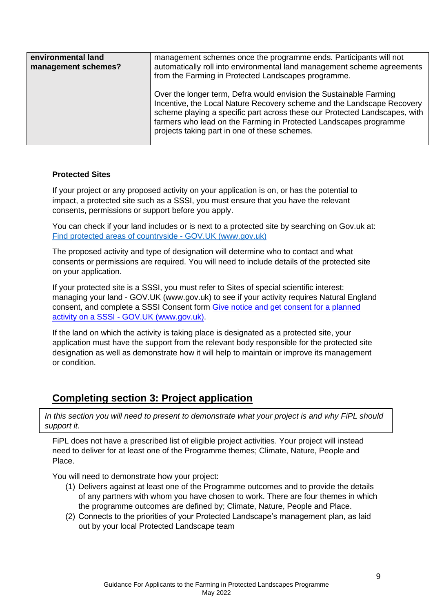| environmental land<br>management schemes? | management schemes once the programme ends. Participants will not<br>automatically roll into environmental land management scheme agreements<br>from the Farming in Protected Landscapes programme.                                                                                                                                              |
|-------------------------------------------|--------------------------------------------------------------------------------------------------------------------------------------------------------------------------------------------------------------------------------------------------------------------------------------------------------------------------------------------------|
|                                           | Over the longer term, Defra would envision the Sustainable Farming<br>Incentive, the Local Nature Recovery scheme and the Landscape Recovery<br>scheme playing a specific part across these our Protected Landscapes, with<br>farmers who lead on the Farming in Protected Landscapes programme<br>projects taking part in one of these schemes. |

### **Protected Sites**

If your project or any proposed activity on your application is on, or has the potential to impact, a protected site such as a SSSI, you must ensure that you have the relevant consents, permissions or support before you apply.

You can check if your land includes or is next to a protected site by searching on Gov.uk at: [Find protected areas of countryside -](https://www.gov.uk/check-your-business-protected-area) GOV.UK (www.gov.uk)

The proposed activity and type of designation will determine who to contact and what consents or permissions are required. You will need to include details of the protected site on your application.

If your protected site is a SSSI, you must refer to [Sites of special scientific interest:](https://www.gov.uk/guidance/protected-areas-sites-of-special-scientific-interest)  managing your land - [GOV.UK \(www.gov.uk\)](https://www.gov.uk/guidance/protected-areas-sites-of-special-scientific-interest) to see if your activity requires Natural England consent, and complete a SSSI Consent form [Give notice and get consent for a planned](https://www.gov.uk/government/publications/request-permission-for-works-or-an-activity-on-an-sssi)  activity on a SSSI - [GOV.UK \(www.gov.uk\).](https://www.gov.uk/government/publications/request-permission-for-works-or-an-activity-on-an-sssi)

If the land on which the activity is taking place is designated as a protected site, your application must have the support from the relevant body responsible for the protected site designation as well as demonstrate how it will help to maintain or improve its management or condition.

## **Completing section 3: Project application**

*In this section you will need to present to demonstrate what your project is and why FiPL should support it.* 

FiPL does not have a prescribed list of eligible project activities. Your project will instead need to deliver for at least one of the Programme themes; Climate, Nature, People and Place.

You will need to demonstrate how your project:

- (1) Delivers against at least one of the Programme outcomes and to provide the details of any partners with whom you have chosen to work. There are four themes in which the programme outcomes are defined by; Climate, Nature, People and Place.
- (2) Connects to the priorities of your Protected Landscape's management plan, as laid out by your local Protected Landscape team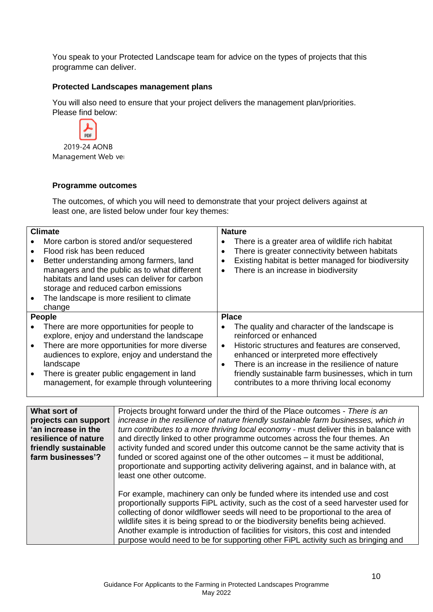You speak to your Protected Landscape team for advice on the types of projects that this programme can deliver.

#### **Protected Landscapes management plans**

You will also need to ensure that your project delivers the management plan/priorities. Please find below:



2019-24 AONB Management Web ver

#### **Programme outcomes**

The outcomes, of which you will need to demonstrate that your project delivers against at least one, are listed below under four key themes:

| <b>Climate</b>                                                                                                                                                                                                                                                                                          |                        | <b>Nature</b>                                                                                                                                                                                                                                                                                                                     |
|---------------------------------------------------------------------------------------------------------------------------------------------------------------------------------------------------------------------------------------------------------------------------------------------------------|------------------------|-----------------------------------------------------------------------------------------------------------------------------------------------------------------------------------------------------------------------------------------------------------------------------------------------------------------------------------|
| More carbon is stored and/or sequestered<br>Flood risk has been reduced<br>Better understanding among farmers, land<br>managers and the public as to what different<br>habitats and land uses can deliver for carbon<br>storage and reduced carbon emissions                                            | $\bullet$              | There is a greater area of wildlife rich habitat<br>There is greater connectivity between habitats<br>Existing habitat is better managed for biodiversity<br>There is an increase in biodiversity                                                                                                                                 |
| The landscape is more resilient to climate<br>change                                                                                                                                                                                                                                                    |                        |                                                                                                                                                                                                                                                                                                                                   |
| <b>People</b>                                                                                                                                                                                                                                                                                           | <b>Place</b>           |                                                                                                                                                                                                                                                                                                                                   |
| There are more opportunities for people to<br>explore, enjoy and understand the landscape<br>There are more opportunities for more diverse<br>audiences to explore, enjoy and understand the<br>landscape<br>There is greater public engagement in land<br>management, for example through volunteering | $\bullet$<br>$\bullet$ | The quality and character of the landscape is<br>reinforced or enhanced<br>Historic structures and features are conserved,<br>enhanced or interpreted more effectively<br>There is an increase in the resilience of nature<br>friendly sustainable farm businesses, which in turn<br>contributes to a more thriving local economy |

| What sort of         | Projects brought forward under the third of the Place outcomes - There is an                                                                                                                                                                                                                                                                                                                                                                                                                                         |
|----------------------|----------------------------------------------------------------------------------------------------------------------------------------------------------------------------------------------------------------------------------------------------------------------------------------------------------------------------------------------------------------------------------------------------------------------------------------------------------------------------------------------------------------------|
| projects can support | increase in the resilience of nature friendly sustainable farm businesses, which in                                                                                                                                                                                                                                                                                                                                                                                                                                  |
| 'an increase in the  | turn contributes to a more thriving local economy - must deliver this in balance with                                                                                                                                                                                                                                                                                                                                                                                                                                |
| resilience of nature | and directly linked to other programme outcomes across the four themes. An                                                                                                                                                                                                                                                                                                                                                                                                                                           |
| friendly sustainable | activity funded and scored under this outcome cannot be the same activity that is                                                                                                                                                                                                                                                                                                                                                                                                                                    |
| farm businesses'?    | funded or scored against one of the other outcomes – it must be additional,<br>proportionate and supporting activity delivering against, and in balance with, at<br>least one other outcome.                                                                                                                                                                                                                                                                                                                         |
|                      | For example, machinery can only be funded where its intended use and cost<br>proportionally supports FiPL activity, such as the cost of a seed harvester used for<br>collecting of donor wildflower seeds will need to be proportional to the area of<br>wildlife sites it is being spread to or the biodiversity benefits being achieved.<br>Another example is introduction of facilities for visitors, this cost and intended<br>purpose would need to be for supporting other FiPL activity such as bringing and |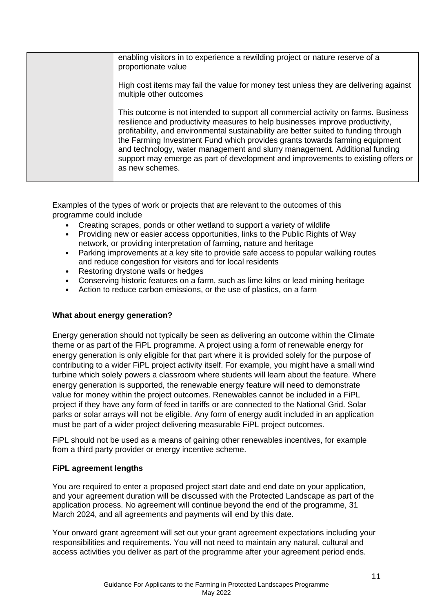| enabling visitors in to experience a rewilding project or nature reserve of a<br>proportionate value                                                                                                                                                                                                                                                                                                                                                                                                                            |
|---------------------------------------------------------------------------------------------------------------------------------------------------------------------------------------------------------------------------------------------------------------------------------------------------------------------------------------------------------------------------------------------------------------------------------------------------------------------------------------------------------------------------------|
| High cost items may fail the value for money test unless they are delivering against<br>multiple other outcomes                                                                                                                                                                                                                                                                                                                                                                                                                 |
| This outcome is not intended to support all commercial activity on farms. Business<br>resilience and productivity measures to help businesses improve productivity,<br>profitability, and environmental sustainability are better suited to funding through<br>the Farming Investment Fund which provides grants towards farming equipment<br>and technology, water management and slurry management. Additional funding<br>support may emerge as part of development and improvements to existing offers or<br>as new schemes. |

Examples of the types of work or projects that are relevant to the outcomes of this programme could include

- Creating scrapes, ponds or other wetland to support a variety of wildlife
- Providing new or easier access opportunities, links to the Public Rights of Way network, or providing interpretation of farming, nature and heritage
- Parking improvements at a key site to provide safe access to popular walking routes and reduce congestion for visitors and for local residents
- Restoring drystone walls or hedges
- Conserving historic features on a farm, such as lime kilns or lead mining heritage
- Action to reduce carbon emissions, or the use of plastics, on a farm

## **What about energy generation?**

Energy generation should not typically be seen as delivering an outcome within the Climate theme or as part of the FiPL programme. A project using a form of renewable energy for energy generation is only eligible for that part where it is provided solely for the purpose of contributing to a wider FiPL project activity itself. For example, you might have a small wind turbine which solely powers a classroom where students will learn about the feature. Where energy generation is supported, the renewable energy feature will need to demonstrate value for money within the project outcomes. Renewables cannot be included in a FiPL project if they have any form of feed in tariffs or are connected to the National Grid. Solar parks or solar arrays will not be eligible. Any form of energy audit included in an application must be part of a wider project delivering measurable FiPL project outcomes.

FiPL should not be used as a means of gaining other renewables incentives, for example from a third party provider or energy incentive scheme.

#### **FiPL agreement lengths**

You are required to enter a proposed project start date and end date on your application, and your agreement duration will be discussed with the Protected Landscape as part of the application process. No agreement will continue beyond the end of the programme, 31 March 2024, and all agreements and payments will end by this date.

Your onward grant agreement will set out your grant agreement expectations including your responsibilities and requirements. You will not need to maintain any natural, cultural and access activities you deliver as part of the programme after your agreement period ends.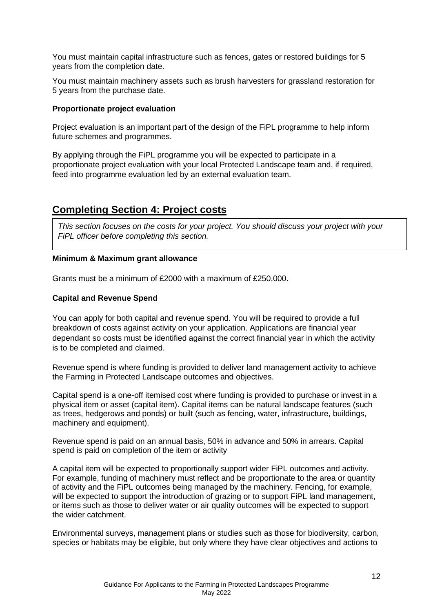You must maintain capital infrastructure such as fences, gates or restored buildings for 5 years from the completion date.

You must maintain machinery assets such as brush harvesters for grassland restoration for 5 years from the purchase date.

#### **Proportionate project evaluation**

Project evaluation is an important part of the design of the FiPL programme to help inform future schemes and programmes.

By applying through the FiPL programme you will be expected to participate in a proportionate project evaluation with your local Protected Landscape team and, if required, feed into programme evaluation led by an external evaluation team.

## **Completing Section 4: Project costs**

*This section focuses on the costs for your project. You should discuss your project with your FiPL officer before completing this section.*

#### **Minimum & Maximum grant allowance**

Grants must be a minimum of £2000 with a maximum of £250,000.

#### **Capital and Revenue Spend**

You can apply for both capital and revenue spend. You will be required to provide a full breakdown of costs against activity on your application. Applications are financial year dependant so costs must be identified against the correct financial year in which the activity is to be completed and claimed.

Revenue spend is where funding is provided to deliver land management activity to achieve the Farming in Protected Landscape outcomes and objectives.

Capital spend is a one-off itemised cost where funding is provided to purchase or invest in a physical item or asset (capital item). Capital items can be natural landscape features (such as trees, hedgerows and ponds) or built (such as fencing, water, infrastructure, buildings, machinery and equipment).

Revenue spend is paid on an annual basis, 50% in advance and 50% in arrears. Capital spend is paid on completion of the item or activity

A capital item will be expected to proportionally support wider FiPL outcomes and activity. For example, funding of machinery must reflect and be proportionate to the area or quantity of activity and the FiPL outcomes being managed by the machinery. Fencing, for example, will be expected to support the introduction of grazing or to support FiPL land management, or items such as those to deliver water or air quality outcomes will be expected to support the wider catchment.

Environmental surveys, management plans or studies such as those for biodiversity, carbon, species or habitats may be eligible, but only where they have clear objectives and actions to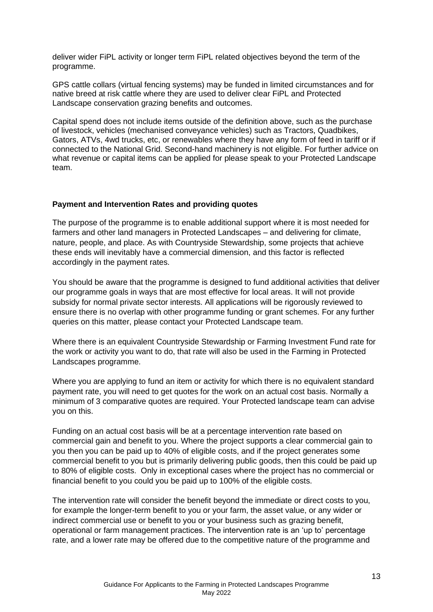deliver wider FiPL activity or longer term FiPL related objectives beyond the term of the programme.

GPS cattle collars (virtual fencing systems) may be funded in limited circumstances and for native breed at risk cattle where they are used to deliver clear FiPL and Protected Landscape conservation grazing benefits and outcomes.

Capital spend does not include items outside of the definition above, such as the purchase of livestock, vehicles (mechanised conveyance vehicles) such as Tractors, Quadbikes, Gators, ATVs, 4wd trucks, etc, or renewables where they have any form of feed in tariff or if connected to the National Grid. Second-hand machinery is not eligible. For further advice on what revenue or capital items can be applied for please speak to your Protected Landscape team.

#### **Payment and Intervention Rates and providing quotes**

The purpose of the programme is to enable additional support where it is most needed for farmers and other land managers in Protected Landscapes – and delivering for climate, nature, people, and place. As with Countryside Stewardship, some projects that achieve these ends will inevitably have a commercial dimension, and this factor is reflected accordingly in the payment rates.

You should be aware that the programme is designed to fund additional activities that deliver our programme goals in ways that are most effective for local areas. It will not provide subsidy for normal private sector interests. All applications will be rigorously reviewed to ensure there is no overlap with other programme funding or grant schemes. For any further queries on this matter, please contact your Protected Landscape team.

Where there is an equivalent Countryside Stewardship or Farming Investment Fund rate for the work or activity you want to do, that rate will also be used in the Farming in Protected Landscapes programme.

Where you are applying to fund an item or activity for which there is no equivalent standard payment rate, you will need to get quotes for the work on an actual cost basis. Normally a minimum of 3 comparative quotes are required. Your Protected landscape team can advise you on this.

Funding on an actual cost basis will be at a percentage intervention rate based on commercial gain and benefit to you. Where the project supports a clear commercial gain to you then you can be paid up to 40% of eligible costs, and if the project generates some commercial benefit to you but is primarily delivering public goods, then this could be paid up to 80% of eligible costs. Only in exceptional cases where the project has no commercial or financial benefit to you could you be paid up to 100% of the eligible costs.

The intervention rate will consider the benefit beyond the immediate or direct costs to you, for example the longer-term benefit to you or your farm, the asset value, or any wider or indirect commercial use or benefit to you or your business such as grazing benefit, operational or farm management practices. The intervention rate is an 'up to' percentage rate, and a lower rate may be offered due to the competitive nature of the programme and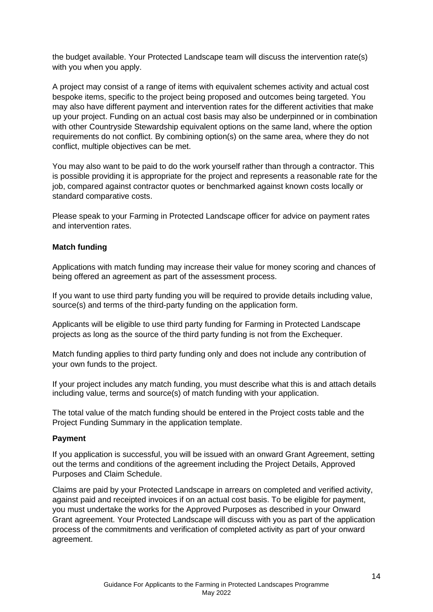the budget available. Your Protected Landscape team will discuss the intervention rate(s) with you when you apply.

A project may consist of a range of items with equivalent schemes activity and actual cost bespoke items, specific to the project being proposed and outcomes being targeted. You may also have different payment and intervention rates for the different activities that make up your project. Funding on an actual cost basis may also be underpinned or in combination with other Countryside Stewardship equivalent options on the same land, where the option requirements do not conflict. By combining option(s) on the same area, where they do not conflict, multiple objectives can be met.

You may also want to be paid to do the work yourself rather than through a contractor. This is possible providing it is appropriate for the project and represents a reasonable rate for the job, compared against contractor quotes or benchmarked against known costs locally or standard comparative costs.

Please speak to your Farming in Protected Landscape officer for advice on payment rates and intervention rates.

#### **Match funding**

Applications with match funding may increase their value for money scoring and chances of being offered an agreement as part of the assessment process.

If you want to use third party funding you will be required to provide details including value, source(s) and terms of the third-party funding on the application form.

Applicants will be eligible to use third party funding for Farming in Protected Landscape projects as long as the source of the third party funding is not from the Exchequer.

Match funding applies to third party funding only and does not include any contribution of your own funds to the project.

If your project includes any match funding, you must describe what this is and attach details including value, terms and source(s) of match funding with your application.

The total value of the match funding should be entered in the Project costs table and the Project Funding Summary in the application template.

#### **Payment**

If you application is successful, you will be issued with an onward Grant Agreement, setting out the terms and conditions of the agreement including the Project Details, Approved Purposes and Claim Schedule.

Claims are paid by your Protected Landscape in arrears on completed and verified activity, against paid and receipted invoices if on an actual cost basis. To be eligible for payment, you must undertake the works for the Approved Purposes as described in your Onward Grant agreement. Your Protected Landscape will discuss with you as part of the application process of the commitments and verification of completed activity as part of your onward agreement.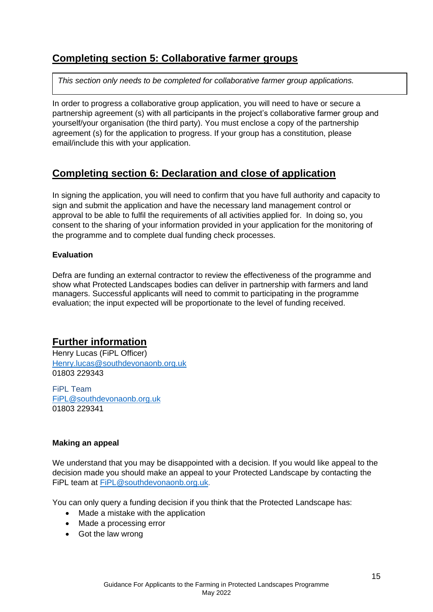## **Completing section 5: Collaborative farmer groups**

*This section only needs to be completed for collaborative farmer group applications.* 

In order to progress a collaborative group application, you will need to have or secure a partnership agreement (s) with all participants in the project's collaborative farmer group and yourself/your organisation (the third party). You must enclose a copy of the partnership agreement (s) for the application to progress. If your group has a constitution, please email/include this with your application.

## **Completing section 6: Declaration and close of application**

In signing the application, you will need to confirm that you have full authority and capacity to sign and submit the application and have the necessary land management control or approval to be able to fulfil the requirements of all activities applied for. In doing so, you consent to the sharing of your information provided in your application for the monitoring of the programme and to complete dual funding check processes.

## **Evaluation**

Defra are funding an external contractor to review the effectiveness of the programme and show what Protected Landscapes bodies can deliver in partnership with farmers and land managers. Successful applicants will need to commit to participating in the programme evaluation; the input expected will be proportionate to the level of funding received.

## **Further information**

Henry Lucas (FiPL Officer) [Henry.lucas@southdevonaonb.org.uk](mailto:Henry.lucas@southdevonaonb.org.uk) 01803 229343

FiPL Team [FiPL@southdevonaonb.org.uk](mailto:FiPL@southdevonaonb.org.uk) 01803 229341

## **Making an appeal**

We understand that you may be disappointed with a decision. If you would like appeal to the decision made you should make an appeal to your Protected Landscape by contacting the FiPL team at [FiPL@southdevonaonb.org.uk.](mailto:FiPL@southdevonaonb.org.uk)

You can only query a funding decision if you think that the Protected Landscape has:

- Made a mistake with the application
- Made a processing error
- Got the law wrong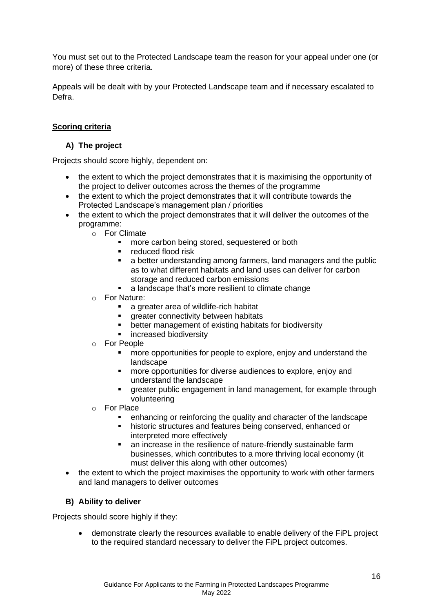You must set out to the Protected Landscape team the reason for your appeal under one (or more) of these three criteria.

Appeals will be dealt with by your Protected Landscape team and if necessary escalated to Defra.

## **Scoring criteria**

### **A) The project**

Projects should score highly, dependent on:

- the extent to which the project demonstrates that it is maximising the opportunity of the project to deliver outcomes across the themes of the programme
- the extent to which the project demonstrates that it will contribute towards the Protected Landscape's management plan / priorities
- the extent to which the project demonstrates that it will deliver the outcomes of the programme:
	- o For Climate
		- more carbon being stored, sequestered or both
		- reduced flood risk
		- a better understanding among farmers, land managers and the public as to what different habitats and land uses can deliver for carbon storage and reduced carbon emissions
		- a landscape that's more resilient to climate change
	- o For Nature:
		- a greater area of wildlife-rich habitat
		- **•** greater connectivity between habitats
		- better management of existing habitats for biodiversity
		- **E** increased biodiversity
	- o For People
		- more opportunities for people to explore, enjoy and understand the landscape
		- more opportunities for diverse audiences to explore, enjoy and understand the landscape
		- **EXEDEE FIRE A** greater public engagement in land management, for example through volunteering
	- o For Place
		- enhancing or reinforcing the quality and character of the landscape
		- historic structures and features being conserved, enhanced or interpreted more effectively
		- an increase in the resilience of nature-friendly sustainable farm businesses, which contributes to a more thriving local economy (it must deliver this along with other outcomes)
- the extent to which the project maximises the opportunity to work with other farmers and land managers to deliver outcomes

#### **B) Ability to deliver**

Projects should score highly if they:

• demonstrate clearly the resources available to enable delivery of the FiPL project to the required standard necessary to deliver the FiPL project outcomes.